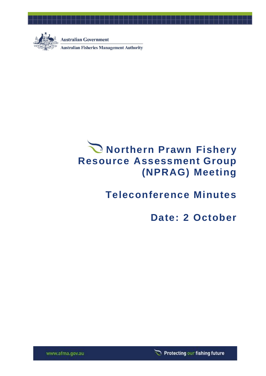

**Australian Government** 

**Australian Fisheries Management Authority** 

# **Northern Prawn Fishery Resource Assessment Group (NPRAG) Meeting**

## **Teleconference Minutes**

## **Date: 2 October**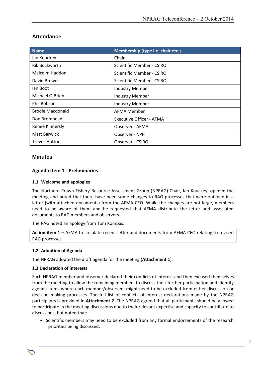| <b>Name</b>             | Membership (type i.e. chair etc.) |
|-------------------------|-----------------------------------|
| lan Knuckey             | Chair                             |
| <b>Rik Buckworth</b>    | Scientific Member - CSIRO         |
| Malcolm Haddon          | Scientific Member - CSIRO         |
| David Brewer            | Scientific Member - CSIRO         |
| lan Boot                | <b>Industry Member</b>            |
| Michael O'Brien         | <b>Industry Member</b>            |
| Phil Robson             | <b>Industry Member</b>            |
| <b>Brodie Macdonald</b> | AFMA Member                       |
| Don Bromhead            | <b>Executive Officer - AFMA</b>   |
| Renee Kinnersly         | Observer - AFMA                   |
| <b>Matt Barwick</b>     | Observer - NPFI                   |
| <b>Trevor Hutton</b>    | Observer - CSIRO                  |

## **Attendance**

#### **Minutes**

#### **Agenda Item 1 - Preliminaries**

#### **1.1 Welcome and apologies**

The Northern Prawn Fishery Resource Assessment Group (NPRAG) Chair, Ian Knuckey, opened the meeting and noted that there have been some changes to RAG processes that were outlined in a letter (with attached documents) from the AFMA CEO. While the changes are not large, members need to be aware of them and he requested that AFMA distribute the letter and associated documents to RAG members and observers.

The RAG noted an apology from Tom Kompas.

**Action item 1 –** AFMA to circulate recent letter and documents from AFMA CEO relating to revised RAG processes.

#### **1.2 Adoption of Agenda**

The NPRAG adopted the draft agenda for the meeting (**Attachment 1**).

#### **1.3 Declaration of interests**

Each NPRAG member and observer declared their conflicts of interest and then excused themselves from the meeting to allow the remaining members to discuss their further participation and identify agenda items where each member/observers might need to be excluded from either discussion or decision making processes. The full list of conflicts of interest declarations made by the NPRAG participants is provided in **Attachment 2**. The NPRAG agreed that all participants should be allowed to participate in the meeting discussions due to their relevant expertise and capacity to contribute to discussions, but noted that:

• Scientific members may need to be excluded from any formal endorsements of the research priorities being discussed.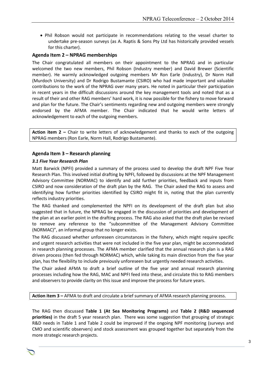• Phil Robson would not participate in recommendations relating to the vessel charter to undertake pre-season surveys (as A. Raptis & Sons Pty Ltd has historically provided vessels for this charter).

#### **Agenda Item 2 – NPRAG memberships**

The Chair congratulated all members on their appointment to the NPRAG and in particular welcomed the two new members, Phil Robson (Industry member) and David Brewer (Scientific member). He warmly acknowledged outgoing members Mr Ron Earle (Industry), Dr Norm Hall (Murdoch University) and Dr Rodrigo Bustamante (CSIRO) who had made important and valuable contributions to the work of the NPRAG over many years. He noted in particular their participation in recent years in the difficult discussions around the key management tools and noted that as a result of their and other RAG members' hard work, it is now possible for the fishery to move forward and plan for the future. The Chair's sentiments regarding new and outgoing members were strongly endorsed by the AFMA member. The Chair indicated that he would write letters of acknowledgement to each of the outgoing members.

**Action item 2 –** Chair to write letters of acknowledgement and thanks to each of the outgoing NPRAG members (Ron Earle, Norm Hall, Rodrigo Bustamante).

#### **Agenda Item 3 – Research planning**

#### *3.1 Five Year Research Plan*

Matt Barwick (NPFI) provided a summary of the process used to develop the draft NPF Five Year Research Plan. This involved initial drafting by NPFI, followed by discussions at the NPF Management Advisory Committee (NORMAC) to identify and add further priorities, feedback and inputs from CSIRO and now consideration of the draft plan by the RAG. The Chair asked the RAG to assess and identifying how further priorities identified by CSIRO might fit in, noting that the plan currently reflects industry priorities.

The RAG thanked and complemented the NPFI on its development of the draft plan but also suggested that in future, the NPRAG be engaged in the discussion of priorities and development of the plan at an earlier point in the drafting process. The RAG also asked that the draft plan be revised to remove any reference to the "subcommittee of the Management Advisory Committee (NORMAC)", an informal group that no longer exists.

The RAG discussed whether unforeseen circumstances in the fishery, which might require specific and urgent research activities that were not included in the five year plan, might be accommodated in research planning processes. The AFMA member clarified that the annual research plan is a RAG driven process (then fed through NORMAC) which, while taking its main direction from the five year plan, has the flexibility to include previously unforeseen but urgently needed research activities.

The Chair asked AFMA to draft a brief outline of the five year and annual research planning processes including how the RAG, MAC and NPFI feed into these, and circulate this to RAG members and observers to provide clarity on this issue and improve the process for future years.

**Action item 3 –** AFMA to draft and circulate a brief summary of AFMA research planning process.

The RAG then discussed **Table 1 (At Sea Monitoring Programs)** and **Table 2 (R&D sequenced priorities)** in the draft 5 year research plan. There was some suggestion that grouping of strategic R&D needs in Table 1 and Table 2 could be improved if the ongoing NPF monitoring (surveys and CMO and scientific observers) and stock assessment was grouped together but separately from the more strategic research projects.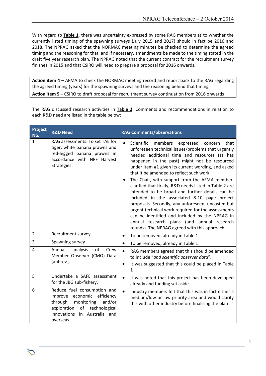With regard to **Table 1**, there was uncertainty expressed by some RAG members as to whether the currently listed timing of the spawning surveys (July 2015 and 2017) should in fact be 2016 and 2018. The NPRAG asked that the NORMAC meeting minutes be checked to determine the agreed timing and the reasoning for that, and if necessary, amendments be made to the timing stated in the draft five year research plan. The NPRAG noted that the current contract for the recruitment survey finishes in 2015 and that CSIRO will need to prepare a proposal for 2016 onwards.

**Action item 4 –** AFMA to check the NORMAC meeting record and report back to the RAG regarding the agreed timing (years) for the spawning surveys and the reasoning behind that timing **Action item 5 –** CSIRO to draft proposal for recruitment survey continuation from 2016 onwards

The RAG discussed research activities in **Table 2**. Comments and recommendations in relation to each R&D need are listed in the table below:

| <b>Project</b><br>No. | <b>R&amp;D Need</b>                                                                                                                                                                          | <b>RAG Comments/observations</b>                                                                                                                                                                                                                                                                                                                                                                                                                                                                                                                                                                                                                                                                                                                                                                      |
|-----------------------|----------------------------------------------------------------------------------------------------------------------------------------------------------------------------------------------|-------------------------------------------------------------------------------------------------------------------------------------------------------------------------------------------------------------------------------------------------------------------------------------------------------------------------------------------------------------------------------------------------------------------------------------------------------------------------------------------------------------------------------------------------------------------------------------------------------------------------------------------------------------------------------------------------------------------------------------------------------------------------------------------------------|
| $\mathbf{1}$          | RAG assessments: To set TAE for<br>tiger, white banana prawns and<br>red-legged banana prawns in<br>accordance with NPF Harvest<br>Strategies.                                               | Scientific<br>members<br>expressed<br>that<br>$\bullet$<br>concern<br>unforeseen technical issues/problems that urgently<br>needed additional time and resources (as has<br>happened in the past) might not be resourced<br>under item #1 given its current wording, and asked<br>that it be amended to reflect such work.<br>The Chair, with support from the AFMA member,<br>clarified that firstly, R&D needs listed in Table 2 are<br>intended to be broad and further details can be<br>included in the associated 8-10 page project<br>proposals. Secondly, any unforeseen, uncosted but<br>urgent technical work required for the assessments<br>can be identified and included by the NPRAG in<br>annual research plans (and annual research<br>rounds). The NPRAG agreed with this approach. |
| $\overline{2}$        | Recruitment survey                                                                                                                                                                           | To be removed, already in Table 1<br>$\bullet$                                                                                                                                                                                                                                                                                                                                                                                                                                                                                                                                                                                                                                                                                                                                                        |
| 3                     | Spawning survey                                                                                                                                                                              | To be removed, already in Table 1<br>$\bullet$                                                                                                                                                                                                                                                                                                                                                                                                                                                                                                                                                                                                                                                                                                                                                        |
| 4                     | of<br>Annual<br>analysis<br>Crew<br>Member Observer (CMO) Data<br>(abbrev.)                                                                                                                  | $\bullet$<br>RAG members agreed that this should be amended<br>to include "and scientific observer data".<br>It was suggested that this could be placed in Table<br>1                                                                                                                                                                                                                                                                                                                                                                                                                                                                                                                                                                                                                                 |
| 5                     | Undertake a SAFE assessment<br>for the JBG sub-fishery.                                                                                                                                      | $\bullet$<br>It was noted that this project has been developed<br>already and funding set aside                                                                                                                                                                                                                                                                                                                                                                                                                                                                                                                                                                                                                                                                                                       |
| 6                     | Reduce fuel consumption and<br>economic efficiency<br>improve<br>through<br>monitoring<br>and/or<br>exploration<br>technological<br>of<br>innovations<br>Australia<br>in<br>and<br>overseas. | $\bullet$<br>Industry members felt that this was in fact either a<br>medium/low or low priority area and would clarify<br>this with other industry before finalising the plan                                                                                                                                                                                                                                                                                                                                                                                                                                                                                                                                                                                                                         |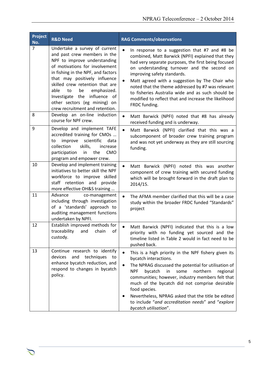| Project<br>No. | <b>R&amp;D Need</b>                                                                                                                                                                                                                                                                                                                                                             | <b>RAG Comments/observations</b>                                                                                                                                                                                                                                                                                                                                                                                                                                                          |
|----------------|---------------------------------------------------------------------------------------------------------------------------------------------------------------------------------------------------------------------------------------------------------------------------------------------------------------------------------------------------------------------------------|-------------------------------------------------------------------------------------------------------------------------------------------------------------------------------------------------------------------------------------------------------------------------------------------------------------------------------------------------------------------------------------------------------------------------------------------------------------------------------------------|
| $\overline{7}$ | Undertake a survey of current<br>and past crew members in the<br>NPF to improve understanding<br>of motivations for involvement<br>in fishing in the NPF, and factors<br>that may positively influence<br>skilled crew retention that are<br>able<br>to<br>be<br>emphasized.<br>Investigate the influence of<br>other sectors (eg mining) on<br>crew recruitment and retention. | $\bullet$<br>In response to a suggestion that #7 and #8 be<br>combined, Matt Barwick (NPFI) explained that they<br>had very separate purposes, the first being focused<br>on understanding turnover and the second on<br>improving safety standards.<br>Matt agreed with a suggestion by The Chair who<br>noted that the theme addressed by #7 was relevant<br>to fisheries Australia wide and as such should be<br>modified to reflect that and increase the likelihood<br>FRDC funding. |
| 8              | Develop an on-line induction<br>course for NPF crew.                                                                                                                                                                                                                                                                                                                            | Matt Barwick (NPFI) noted that #8 has already<br>$\bullet$<br>received funding and is underway.                                                                                                                                                                                                                                                                                                                                                                                           |
| 9              | Develop and implement TAFE<br>accredited training for CMOs<br>scientific<br>improve<br>data<br>to<br>collection<br>skills,<br>increase<br>participation<br>in<br>the<br><b>CMO</b><br>program and empower crew.                                                                                                                                                                 | $\bullet$<br>Matt Barwick (NPFI) clarified that this was a<br>subcomponent of broader crew training program<br>and was not yet underway as they are still sourcing<br>funding.                                                                                                                                                                                                                                                                                                            |
| 10             | Develop and implement training<br>initiatives to better skill the NPF<br>workforce to improve skilled<br>staff retention and provide<br>more effective OH&S training                                                                                                                                                                                                            | Matt Barwick (NPFI) noted this was another<br>component of crew training with secured funding<br>which will be brought forward in the draft plan to<br>2014/15.                                                                                                                                                                                                                                                                                                                           |
| 11             | Advance<br>co-management<br>including through investigation<br>of a 'standards' approach to<br>auditing management functions<br>undertaken by NPFI.                                                                                                                                                                                                                             | The AFMA member clarified that this will be a case<br>$\bullet$<br>study within the broader FRDC funded "Standards"<br>project                                                                                                                                                                                                                                                                                                                                                            |
| 12             | Establish improved methods for<br>traceability<br>оf<br>and<br>chain<br>custody.                                                                                                                                                                                                                                                                                                | Matt Barwick (NPFI) indicated that this is a low<br>priority with no funding yet sourced and the<br>timeline listed in Table 2 would in fact need to be<br>pushed back.                                                                                                                                                                                                                                                                                                                   |
| 13             | Continue research to identify<br>devices<br>and<br>techniques<br>to<br>enhance bycatch reduction, and<br>respond to changes in bycatch<br>policy.                                                                                                                                                                                                                               | $\bullet$<br>This is a high priority in the NPF fishery given its<br>bycatch interactions.<br>The NPRAG discussed the potential for utilisation of<br><b>NPF</b><br>bycatch<br>in<br>some<br>northern<br>regional<br>communities; however, industry members felt that<br>much of the bycatch did not comprise desirable<br>food species.<br>Nevertheless, NPRAG asked that the title be edited<br>to include "and accreditation needs" and "explore<br>bycatch utilisation".              |

Chair Rob Lewis c/- Executive Officer Tony Kingston, 155 Faulkland Rd, Gloucester NSW 2422

⌒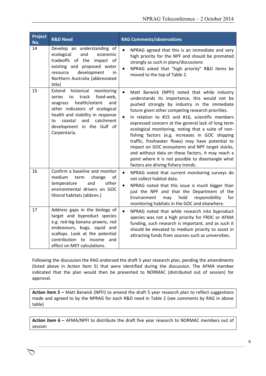| Project<br>No. | <b>R&amp;D Need</b>                                                                                                                                                                                                                                                   | <b>RAG Comments/observations</b>                                                                                                                                                                                                                                                                                                                                                                                                                                                                                                                                                                                                                                                                        |
|----------------|-----------------------------------------------------------------------------------------------------------------------------------------------------------------------------------------------------------------------------------------------------------------------|---------------------------------------------------------------------------------------------------------------------------------------------------------------------------------------------------------------------------------------------------------------------------------------------------------------------------------------------------------------------------------------------------------------------------------------------------------------------------------------------------------------------------------------------------------------------------------------------------------------------------------------------------------------------------------------------------------|
| 14             | Develop an understanding of<br>ecological<br>and<br>economic<br>tradeoffs of the impact of<br>existing and proposed water<br>development<br>resource<br>in<br>Northern Australia (abbreviated<br>title)                                                               | NPRAG agreed that this is an immediate and very<br>$\bullet$<br>high priority for the NPF and should be promoted<br>strongly as such in plans/discussions<br>NPRAG asked that "high priority" R&D items be<br>$\bullet$<br>moved to the top of Table 2.                                                                                                                                                                                                                                                                                                                                                                                                                                                 |
| 15             | Extend<br>historical<br>monitoring<br>food-web,<br>series<br>track<br>to<br>health/extent<br>and<br>seagrass<br>other indicators of ecological<br>health and stability in response<br>coastal<br>and<br>catchment<br>to<br>development in the Gulf of<br>Carpentaria. | $\bullet$<br>Matt Barwick (NPFI) noted that while industry<br>understands its importance, this would not be<br>pushed strongly by industry in the immediate<br>future given other competing research priorities.<br>In relation to #15 and #16, scientific members<br>$\bullet$<br>expressed concern at the general lack of long term<br>ecological monitoring, noting that a suite of non-<br>fishing factors (e.g. increases in GOC shipping<br>traffic, freshwater flows) may have potential to<br>impact on GOC ecosystems and NPF target stocks,<br>and without data on these factors, it may reach a<br>point where it is not possible to disentangle what<br>factors are driving fishery trends. |
| 16             | Confirm a baseline and monitor<br>medium<br>of<br>term<br>change<br>other<br>temperature<br>and<br>environmental drivers on GOC<br>littoral habitats (abbrev.)                                                                                                        | $\bullet$<br>NPRAG noted that current monitoring surveys do<br>not collect habitat data.<br>NPRAG noted that this issue is much bigger than<br>just the NPF and that the Department of the<br>hold<br>responsibility<br>Environment<br>may<br>for<br>monitoring habitats in the GOC and elsewhere.                                                                                                                                                                                                                                                                                                                                                                                                      |
| 17             | Address gaps in the biology of<br>target and byproduct species<br>e.g. red-leg banana prawns, red<br>endeavours, bugs, squid and<br>scallops. Look at the potential<br>contribution to income<br>and<br>effect on MEY calculations.                                   | $\bullet$<br>NPRAG noted that while research into byproduct<br>species was not a high priority for FRDC or AFMA<br>funding, such research is important, and as such it<br>should be elevated to medium priority to assist in<br>attracting funds from sources such as universities.                                                                                                                                                                                                                                                                                                                                                                                                                     |

Following the discussion the RAG endorsed the draft 5 year research plan, pending the amendments (listed above in Action Item 5) that were identified during the discussion. The AFMA member indicated that the plan would then be presented to NORMAC (distributed out of session) for approval.

**Action item 5 –** Matt Barwick (NPFI) to amend the draft 5 year research plan to reflect suggestions made and agreed to by the NPRAG for each R&D need in Table 2 (see comments by RAG in above table)

**Action item 6 –** AFMA/NPFI to distribute the draft five year research to NORMAC members out of session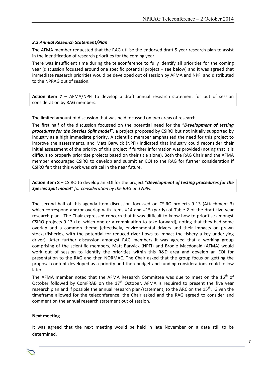#### *3.2 Annual Research Statement/Plan*

The AFMA member requested that the RAG utilise the endorsed draft 5 year research plan to assist in the identification of research priorities for the coming year.

There was insufficient time during the teleconference to fully identify all priorities for the coming year (discussion focussed around one specific potential project – see below) and it was agreed that immediate research priorities would be developed out of session by AFMA and NPFI and distributed to the NPRAG out of session.

**Action item 7 –** AFMA/NPFI to develop a draft annual research statement for out of session consideration by RAG members.

The limited amount of discussion that was held focussed on two areas of research.

The first half of the discussion focussed on the potential need for the "*Development of testing procedures for the Species Split model*", a project proposed by CSIRO but not initially supported by industry as a high immediate priority. A scientific member emphasised the need for this project to improve the assessments, and Matt Barwick (NPFI) indicated that industry could reconsider their initial assessment of the priority of this project if further information was provided (noting that it is difficult to properly prioritise projects based on their title alone). Both the RAG Chair and the AFMA member encouraged CSIRO to develop and submit an EOI to the RAG for further consideration if CSIRO felt that this work was critical in the near future.

**Action item 8 –** CSIRO to develop an EOI for the project "*Development of testing procedures for the Species Split model" for consideration by the RAG and NPFI.*

The second half of this agenda item discussion focussed on CSIRO projects 9-13 (Attachment 3) which correspond and/or overlap with items #14 and #15 (partly) of Table 2 of the draft five year research plan . The Chair expressed concern that it was difficult to know how to prioritise amongst CSIRO projects 9-13 (i.e. which one or a combination to take forward), noting that they had some overlap and a common theme (effectively, environmental drivers and their impacts on prawn stocks/fisheries, with the potential for reduced river flows to impact the fishery a key underlying driver). After further discussion amongst RAG members it was agreed that a working group comprising of the scientific members, Matt Barwick (NPFI) and Brodie Macdonald (AFMA) would work out of session to identify the priorities within this R&D area and develop an EOI for presentation to the RAG and then NORMAC. The Chair asked that the group focus on getting the proposal content developed as a priority and then budget and funding considerations could follow later.

The AFMA member noted that the AFMA Research Committee was due to meet on the  $16^{\text{th}}$  of October followed by ComFRAB on the  $17<sup>th</sup>$  October. AFMA is required to present the five year research plan and if possible the annual research plan/statement, to the ARC on the 15<sup>th</sup>. Given the timeframe allowed for the teleconference, the Chair asked and the RAG agreed to consider and comment on the annual research statement out of session.

#### **Next meeting**

It was agreed that the next meeting would be held in late November on a date still to be determined.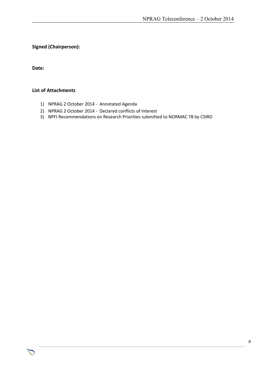**Signed (Chairperson):**

**Date:**

#### **List of Attachments**

- 1) NPRAG 2 October 2014 Annotated Agenda
- 2) NPRAG 2 October 2014 Declared conflicts of Interest
- 3) NPFI Recommendations on Research Priorities submitted to NORMAC 78 by CSIRO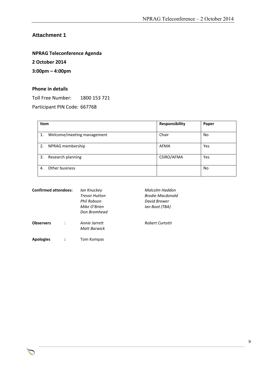## **Attachment 1**

### **NPRAG Teleconference Agenda**

**2 October 2014**

**3:00pm – 4:00pm**

#### **Phone in details**

Toll Free Number: 1800 153 721

Participant PIN Code: 667768

| Item |                            | Responsibility | Paper |
|------|----------------------------|----------------|-------|
| 1.   | Welcome/meeting management | Chair          | No    |
| 2.   | NPRAG membership           | <b>AFMA</b>    | Yes   |
| 3.   | Research planning          | CSIRO/AFMA     | Yes   |
| 4.   | Other business             |                | No    |

| <b>Confirmed attendees:</b> | Ian Knuckey<br><b>Trevor Hutton</b><br>Phil Robson<br>Mike O'Brien<br>Don Bromhead | Malcolm Haddon<br>Brodie Macdonald<br>David Brewer<br>lan Boot (TBA) |
|-----------------------------|------------------------------------------------------------------------------------|----------------------------------------------------------------------|
| <b>Observers</b>            | Annie Jarrett<br>Matt Barwick                                                      | Robert Curtotti                                                      |
| <b>Apologies</b>            | Tom Kompas                                                                         |                                                                      |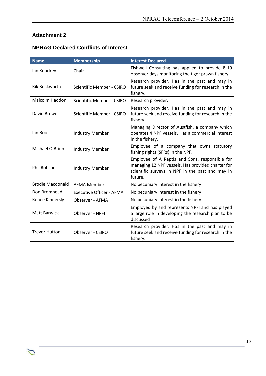## **Attachment 2**

つ

| <b>Name</b>             | <b>Membership</b>                | <b>Interest Declared</b>                                                                                                                                           |
|-------------------------|----------------------------------|--------------------------------------------------------------------------------------------------------------------------------------------------------------------|
| lan Knuckey             | Chair                            | Fishwell Consulting has applied to provide 8-10<br>observer days monitoring the tiger prawn fishery.                                                               |
| <b>Rik Buckworth</b>    | <b>Scientific Member - CSIRO</b> | Research provider. Has in the past and may in<br>future seek and receive funding for research in the<br>fishery.                                                   |
| Malcolm Haddon          | Scientific Member - CSIRO        | Research provider.                                                                                                                                                 |
| David Brewer            | <b>Scientific Member - CSIRO</b> | Research provider. Has in the past and may in<br>future seek and receive funding for research in the<br>fishery.                                                   |
| lan Boot                | <b>Industry Member</b>           | Managing Director of Austfish, a company which<br>operates 4 NPF vessels. Has a commercial interest<br>in the fishery.                                             |
| Michael O'Brien         | <b>Industry Member</b>           | Employee of a company that owns statutory<br>fishing rights (SFRs) in the NPF.                                                                                     |
| Phil Robson             | <b>Industry Member</b>           | Employee of A Raptis and Sons, responsible for<br>managing 12 NPF vessels. Has provided charter for<br>scientific surveys in NPF in the past and may in<br>future. |
| <b>Brodie Macdonald</b> | <b>AFMA Member</b>               | No pecuniary interest in the fishery                                                                                                                               |
| Don Bromhead            | <b>Executive Officer - AFMA</b>  | No pecuniary interest in the fishery                                                                                                                               |
| Renee Kinnersly         | Observer - AFMA                  | No pecuniary interest in the fishery                                                                                                                               |
| Matt Barwick            | Observer - NPFI                  | Employed by and represents NPFI and has played<br>a large role in developing the research plan to be<br>discussed                                                  |
| <b>Trevor Hutton</b>    | Observer - CSIRO                 | Research provider. Has in the past and may in<br>future seek and receive funding for research in the<br>fishery.                                                   |

Chair Rob Lewis c/- Executive Officer Tony Kingston, 155 Faulkland Rd, Gloucester NSW 2422

## **NPRAG Declared Conflicts of Interest**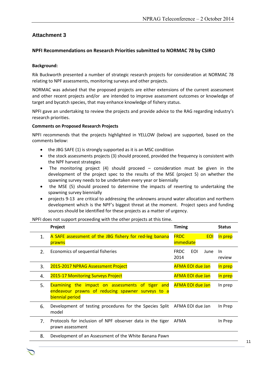## **Attachment 3**

#### **NPFI Recommendations on Research Priorities submitted to NORMAC 78 by CSIRO**

#### **Background:**

Rik Buckworth presented a number of strategic research projects for consideration at NORMAC 78 relating to NPF assessments, monitoring surveys and other projects.

NORMAC was advised that the proposed projects are either extensions of the current assessment and other recent projects and/or are intended to improve assessment outcomes or knowledge of target and bycatch species, that may enhance knowledge of fishery status.

NPFI gave an undertaking to review the projects and provide advice to the RAG regarding industry's research priorities.

#### **Comments on Proposed Research Projects**

NPFI recommends that the projects highlighted in YELLOW (below) are supported, based on the comments below:

- the JBG SAFE (1) is strongly supported as it is an MSC condition
- the stock assessments projects (3) should proceed, provided the frequency is consistent with the NPF harvest strategies
- The monitoring project (4) should proceed consideration must be given in the development of the project spec to the results of the MSE (project 5) on whether the spawning survey needs to be undertaken every year or biennially
- the MSE (5) should proceed to determine the impacts of reverting to undertaking the spawning survey biennially
- projects 9-13 are critical to addressing the unknowns around water allocation and northern development which is the NPF's biggest threat at the moment. Project specs and funding sources should be identified for these projects as a matter of urgency.

NPFI does not support proceeding with the other projects at this time.

|                | Project                                                                                                                         | <b>Timing</b>                          | <b>Status</b>       |
|----------------|---------------------------------------------------------------------------------------------------------------------------------|----------------------------------------|---------------------|
| 1.             | A SAFE assessment of the JBG fishery for red-leg banana<br>prawns                                                               | <b>FRDC</b><br><b>EOI</b><br>immediate | In prep             |
| 2 <sub>1</sub> | Economics of sequential fisheries                                                                                               | EOL<br><b>FRDC</b><br>June<br>2014     | <b>In</b><br>review |
| 3.             | 2015-2017 NPRAG Assessment Project                                                                                              | <b>AFMA EOI due Jan</b>                | In prep             |
| 4.             | 2015-17 Monitoring Surveys Project                                                                                              | <b>AFMA EOI due Jan</b>                | In prep             |
| 5.             | <b>Examining the impact on assessments of tiger and</b><br>endeavour prawns of reducing spawner surveys to a<br>biennial period | <b>AFMA EOI due Jan</b>                | In prep             |
| 6.             | Development of testing procedures for the Species Split<br>model                                                                | AFMA EOI due Jan                       | In Prep             |
| 7.             | Protocols for inclusion of NPF observer data in the tiger<br>prawn assessment                                                   | AFMA                                   | In Prep             |
| 8.             | Development of an Assessment of the White Banana Pawn                                                                           |                                        |                     |